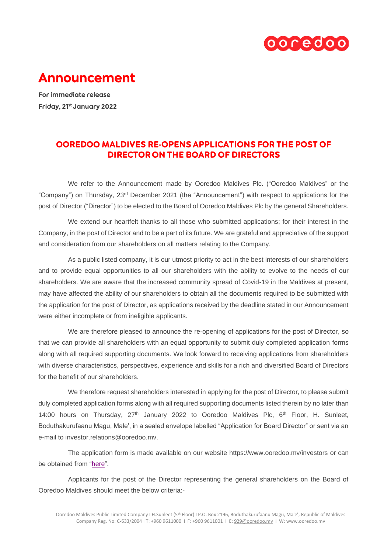

## **Announcement**

For immediate release Friday, 21st January 2022

## OOREDOO MALDIVES RE-OPENS APPLICATIONS FOR THE POST OF **DIRECTOR ON THE BOARD OF DIRECTORS**

We refer to the Announcement made by Ooredoo Maldives Plc. ("Ooredoo Maldives" or the "Company") on Thursday, 23rd December 2021 (the "Announcement") with respect to applications for the post of Director ("Director") to be elected to the Board of Ooredoo Maldives Plc by the general Shareholders.

We extend our heartfelt thanks to all those who submitted applications; for their interest in the Company, in the post of Director and to be a part of its future. We are grateful and appreciative of the support and consideration from our shareholders on all matters relating to the Company.

As a public listed company, it is our utmost priority to act in the best interests of our shareholders and to provide equal opportunities to all our shareholders with the ability to evolve to the needs of our shareholders. We are aware that the increased community spread of Covid-19 in the Maldives at present, may have affected the ability of our shareholders to obtain all the documents required to be submitted with the application for the post of Director, as applications received by the deadline stated in our Announcement were either incomplete or from ineligible applicants.

We are therefore pleased to announce the re-opening of applications for the post of Director, so that we can provide all shareholders with an equal opportunity to submit duly completed application forms along with all required supporting documents. We look forward to receiving applications from shareholders with diverse characteristics, perspectives, experience and skills for a rich and diversified Board of Directors for the benefit of our shareholders.

We therefore request shareholders interested in applying for the post of Director, to please submit duly completed application forms along with all required supporting documents listed therein by no later than 14:00 hours on Thursday,  $27<sup>th</sup>$  January 2022 to Ooredoo Maldives Plc,  $6<sup>th</sup>$  Floor, H. Sunleet, Boduthakurufaanu Magu, Male', in a sealed envelope labelled "Application for Board Director" or sent via an e-mail to investor relations@ooredoo.mv

The application form is made available on our website https://www.ooredoo.mv/investors or can be obtained from ["here"](https://cdn.ooredoo.mv/files/investors/2022-public-director-application-form.pdf).

Applicants for the post of the Director representing the general shareholders on the Board of Ooredoo Maldives should meet the below criteria:-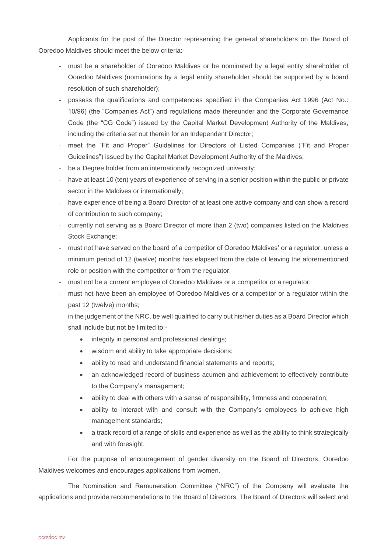Applicants for the post of the Director representing the general shareholders on the Board of Ooredoo Maldives should meet the below criteria:-

- must be a shareholder of Ooredoo Maldives or be nominated by a legal entity shareholder of Ooredoo Maldives (nominations by a legal entity shareholder should be supported by a board resolution of such shareholder);
- possess the qualifications and competencies specified in the Companies Act 1996 (Act No.: 10/96) (the "Companies Act") and regulations made thereunder and the Corporate Governance Code (the "CG Code") issued by the Capital Market Development Authority of the Maldives, including the criteria set out therein for an Independent Director;
- meet the "Fit and Proper" Guidelines for Directors of Listed Companies ("Fit and Proper Guidelines") issued by the Capital Market Development Authority of the Maldives;
- be a Degree holder from an internationally recognized university;
- have at least 10 (ten) years of experience of serving in a senior position within the public or private sector in the Maldives or internationally;
- have experience of being a Board Director of at least one active company and can show a record of contribution to such company;
- currently not serving as a Board Director of more than 2 (two) companies listed on the Maldives Stock Exchange;
- must not have served on the board of a competitor of Ooredoo Maldives' or a regulator, unless a minimum period of 12 (twelve) months has elapsed from the date of leaving the aforementioned role or position with the competitor or from the regulator;
- must not be a current employee of Ooredoo Maldives or a competitor or a regulator;
- must not have been an employee of Ooredoo Maldives or a competitor or a regulator within the past 12 (twelve) months;
- in the judgement of the NRC, be well qualified to carry out his/her duties as a Board Director which shall include but not be limited to:-
	- integrity in personal and professional dealings;
	- wisdom and ability to take appropriate decisions;
	- ability to read and understand financial statements and reports;
	- an acknowledged record of business acumen and achievement to effectively contribute to the Company's management;
	- ability to deal with others with a sense of responsibility, firmness and cooperation;
	- ability to interact with and consult with the Company's employees to achieve high management standards;
	- a track record of a range of skills and experience as well as the ability to think strategically and with foresight.

For the purpose of encouragement of gender diversity on the Board of Directors, Ooredoo Maldives welcomes and encourages applications from women.

The Nomination and Remuneration Committee ("NRC") of the Company will evaluate the applications and provide recommendations to the Board of Directors. The Board of Directors will select and